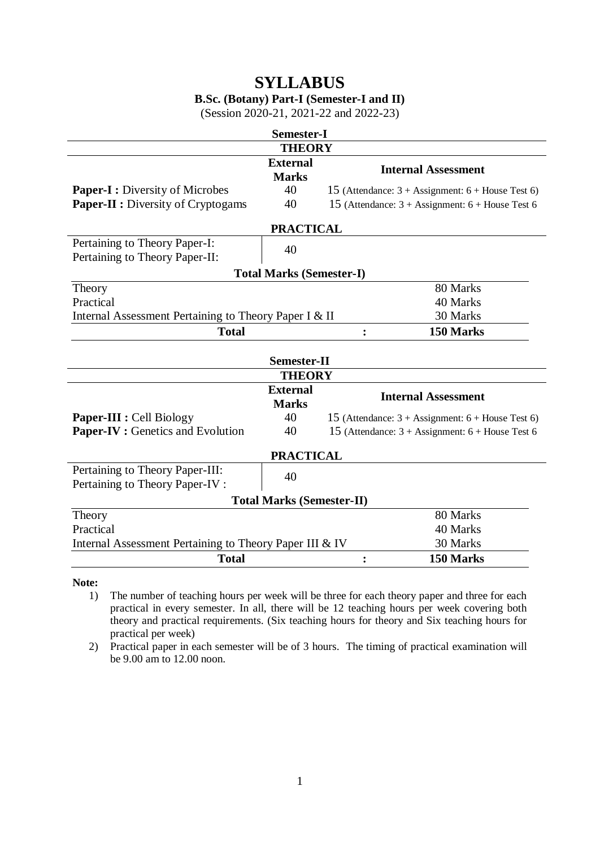# **SYLLABUS**

## **B.Sc. (Botany) Part-I (Semester-I and II)**

(Session 2020-21, 2021-22 and 2022-23)

| <b>Semester-I</b>                                                   |                                 |                                                                     |  |  |  |  |
|---------------------------------------------------------------------|---------------------------------|---------------------------------------------------------------------|--|--|--|--|
| <b>THEORY</b>                                                       |                                 |                                                                     |  |  |  |  |
|                                                                     | <b>External</b><br><b>Marks</b> | <b>Internal Assessment</b>                                          |  |  |  |  |
| <b>Paper-I:</b> Diversity of Microbes                               | 40                              | 15 (Attendance: $3 + \text{Assignment: } 6 + \text{House Test 6}$ ) |  |  |  |  |
| <b>Paper-II :</b> Diversity of Cryptogams                           | 40                              | 15 (Attendance: $3 + \text{Assignment: } 6 + \text{House Test 6}$   |  |  |  |  |
| <b>PRACTICAL</b>                                                    |                                 |                                                                     |  |  |  |  |
| Pertaining to Theory Paper-I:                                       | 40                              |                                                                     |  |  |  |  |
| Pertaining to Theory Paper-II:                                      |                                 |                                                                     |  |  |  |  |
| <b>Total Marks (Semester-I)</b>                                     |                                 |                                                                     |  |  |  |  |
| Theory                                                              |                                 | 80 Marks                                                            |  |  |  |  |
| Practical                                                           |                                 | 40 Marks                                                            |  |  |  |  |
| Internal Assessment Pertaining to Theory Paper I & II               |                                 | 30 Marks                                                            |  |  |  |  |
| <b>Total</b>                                                        |                                 | 150 Marks<br>$\ddot{\cdot}$                                         |  |  |  |  |
| <b>Semester-II</b>                                                  |                                 |                                                                     |  |  |  |  |
|                                                                     | <b>THEORY</b>                   |                                                                     |  |  |  |  |
|                                                                     | <b>External</b><br><b>Marks</b> | <b>Internal Assessment</b>                                          |  |  |  |  |
| <b>Paper-III : Cell Biology</b>                                     | 40                              | 15 (Attendance: $3 + \text{Assignment: } 6 + \text{House Test 6}$ ) |  |  |  |  |
| <b>Paper-IV</b> : Genetics and Evolution                            | 40                              | 15 (Attendance: $3 + \text{Assignment: } 6 + \text{House Test 6}$   |  |  |  |  |
| <b>PRACTICAL</b>                                                    |                                 |                                                                     |  |  |  |  |
| Pertaining to Theory Paper-III:                                     | 40                              |                                                                     |  |  |  |  |
| Pertaining to Theory Paper-IV :                                     |                                 |                                                                     |  |  |  |  |
| <b>Total Marks (Semester-II)</b>                                    |                                 |                                                                     |  |  |  |  |
| Theory                                                              |                                 | 80 Marks                                                            |  |  |  |  |
| Practical                                                           |                                 | 40 Marks                                                            |  |  |  |  |
| Internal Assessment Pertaining to Theory Paper III & IV<br>30 Marks |                                 |                                                                     |  |  |  |  |
| <b>Total</b>                                                        |                                 | 150 Marks<br>$\ddot{\cdot}$                                         |  |  |  |  |

**Note:**

1) The number of teaching hours per week will be three for each theory paper and three for each practical in every semester. In all, there will be 12 teaching hours per week covering both theory and practical requirements. (Six teaching hours for theory and Six teaching hours for practical per week)

2) Practical paper in each semester will be of 3 hours. The timing of practical examination will be 9.00 am to 12.00 noon.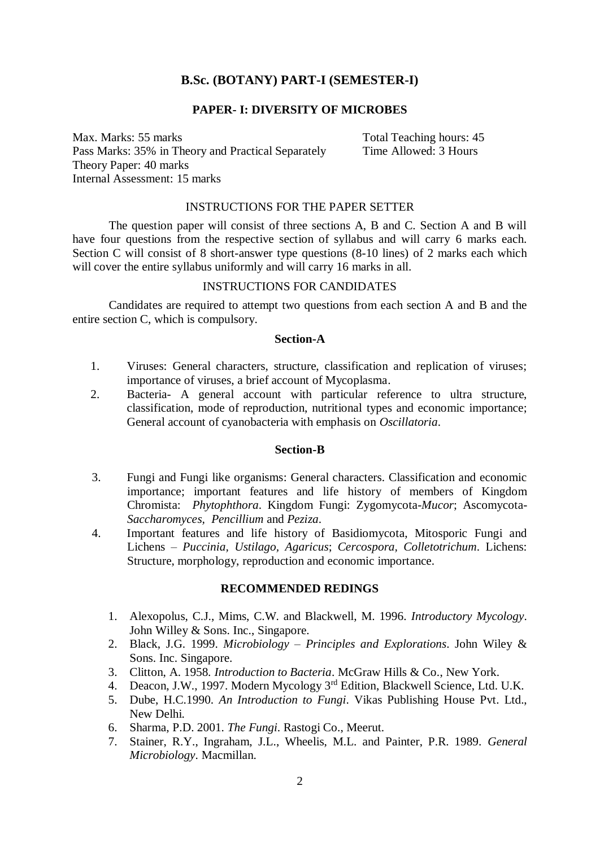## **B.Sc. (BOTANY) PART-I (SEMESTER-I)**

## **PAPER- I: DIVERSITY OF MICROBES**

Max. Marks: 55 marks Total Teaching hours: 45 Pass Marks: 35% in Theory and Practical Separately Time Allowed: 3 Hours Theory Paper: 40 marks Internal Assessment: 15 marks

#### INSTRUCTIONS FOR THE PAPER SETTER

The question paper will consist of three sections A, B and C. Section A and B will have four questions from the respective section of syllabus and will carry 6 marks each. Section C will consist of 8 short-answer type questions (8-10 lines) of 2 marks each which will cover the entire syllabus uniformly and will carry 16 marks in all.

#### INSTRUCTIONS FOR CANDIDATES

Candidates are required to attempt two questions from each section A and B and the entire section C, which is compulsory.

#### **Section-A**

- 1. Viruses: General characters, structure, classification and replication of viruses; importance of viruses, a brief account of Mycoplasma.
- 2. Bacteria- A general account with particular reference to ultra structure, classification, mode of reproduction, nutritional types and economic importance; General account of cyanobacteria with emphasis on *Oscillatoria*.

## **Section-B**

- 3. Fungi and Fungi like organisms: General characters. Classification and economic importance; important features and life history of members of Kingdom Chromista: *Phytophthora*. Kingdom Fungi: Zygomycota-*Mucor*; Ascomycota*-Saccharomyces, Pencillium* and *Peziza*.
- 4. Important features and life history of Basidiomycota, Mitosporic Fungi and Lichens – *Puccinia, Ustilago, Agaricus*; *Cercospora, Colletotrichum*. Lichens: Structure, morphology, reproduction and economic importance.

## **RECOMMENDED REDINGS**

- 1. Alexopolus, C.J., Mims, C.W. and Blackwell, M. 1996. *Introductory Mycology*. John Willey & Sons. Inc., Singapore.
- 2. Black, J.G. 1999. *Microbiology – Principles and Explorations*. John Wiley & Sons. Inc. Singapore.
- 3. Clitton, A. 1958. *Introduction to Bacteria*. McGraw Hills & Co., New York.
- 4. Deacon, J.W., 1997. Modern Mycology 3<sup>rd</sup> Edition, Blackwell Science, Ltd. U.K.
- 5. Dube, H.C.1990. *An Introduction to Fungi*. Vikas Publishing House Pvt. Ltd., New Delhi.
- 6. Sharma, P.D. 2001. *The Fungi*. Rastogi Co., Meerut.
- 7. Stainer, R.Y., Ingraham, J.L., Wheelis, M.L. and Painter, P.R. 1989. *General Microbiology*. Macmillan.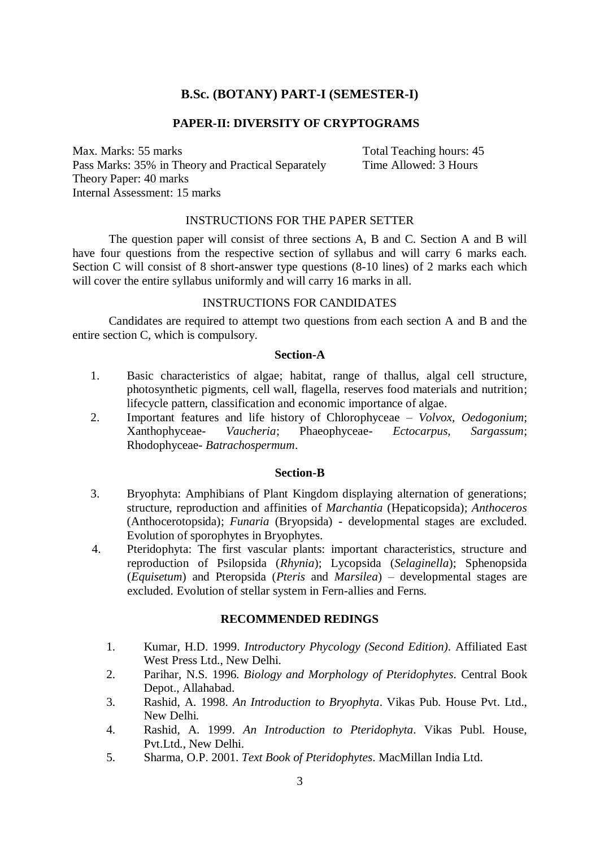## **B.Sc. (BOTANY) PART-I (SEMESTER-I)**

## **PAPER-II: DIVERSITY OF CRYPTOGRAMS**

Max. Marks: 55 marks Total Teaching hours: 45 Pass Marks: 35% in Theory and Practical Separately Time Allowed: 3 Hours Theory Paper: 40 marks Internal Assessment: 15 marks

#### INSTRUCTIONS FOR THE PAPER SETTER

The question paper will consist of three sections A, B and C. Section A and B will have four questions from the respective section of syllabus and will carry 6 marks each. Section C will consist of 8 short-answer type questions (8-10 lines) of 2 marks each which will cover the entire syllabus uniformly and will carry 16 marks in all.

#### INSTRUCTIONS FOR CANDIDATES

Candidates are required to attempt two questions from each section A and B and the entire section C, which is compulsory.

#### **Section-A**

- 1. Basic characteristics of algae; habitat, range of thallus, algal cell structure, photosynthetic pigments, cell wall, flagella, reserves food materials and nutrition; lifecycle pattern, classification and economic importance of algae.
- 2. Important features and life history of Chlorophyceae *Volvox, Oedogonium*; Xanthophyceae- *Vaucheria*; Phaeophyceae- *Ectocarpus, Sargassum*; Rhodophyceae- *Batrachospermum*.

#### **Section-B**

- 3. Bryophyta: Amphibians of Plant Kingdom displaying alternation of generations; structure, reproduction and affinities of *Marchantia* (Hepaticopsida); *Anthoceros* (Anthocerotopsida); *Funaria* (Bryopsida) - developmental stages are excluded. Evolution of sporophytes in Bryophytes.
- 4. Pteridophyta: The first vascular plants: important characteristics, structure and reproduction of Psilopsida (*Rhynia*); Lycopsida (*Selaginella*); Sphenopsida (*Equisetum*) and Pteropsida (*Pteris* and *Marsilea*) – developmental stages are excluded. Evolution of stellar system in Fern-allies and Ferns.

#### **RECOMMENDED REDINGS**

- 1. Kumar, H.D. 1999. *Introductory Phycology (Second Edition)*. Affiliated East West Press Ltd., New Delhi.
- 2. Parihar, N.S. 1996. *Biology and Morphology of Pteridophytes*. Central Book Depot., Allahabad.
- 3. Rashid, A. 1998. *An Introduction to Bryophyta*. Vikas Pub. House Pvt. Ltd., New Delhi.
- 4. Rashid, A. 1999. *An Introduction to Pteridophyta*. Vikas Publ. House, Pvt.Ltd., New Delhi.
- 5. Sharma, O.P. 2001. *Text Book of Pteridophytes*. MacMillan India Ltd.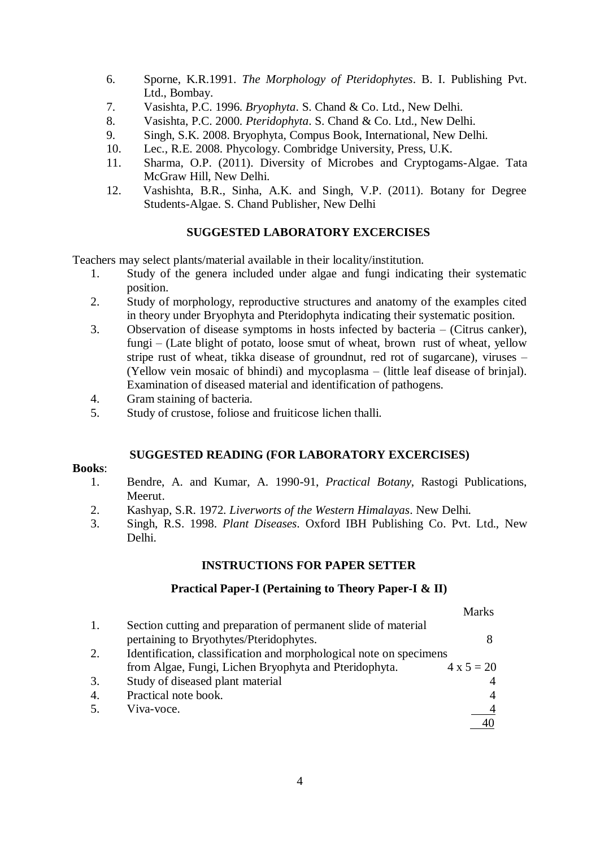- 6. Sporne, K.R.1991. *The Morphology of Pteridophytes*. B. I. Publishing Pvt. Ltd., Bombay.
- 7. Vasishta, P.C. 1996. *Bryophyta*. S. Chand & Co. Ltd., New Delhi.
- 8. Vasishta, P.C. 2000. *Pteridophyta*. S. Chand & Co. Ltd., New Delhi.
- 9. Singh, S.K. 2008. Bryophyta, Compus Book, International, New Delhi.
- 10. Lec., R.E. 2008. Phycology. Combridge University, Press, U.K.
- 11. Sharma, O.P. (2011). Diversity of Microbes and Cryptogams-Algae. Tata McGraw Hill, New Delhi.
- 12. Vashishta, B.R., Sinha, A.K. and Singh, V.P. (2011). Botany for Degree Students-Algae. S. Chand Publisher, New Delhi

## **SUGGESTED LABORATORY EXCERCISES**

Teachers may select plants/material available in their locality/institution.

- 1. Study of the genera included under algae and fungi indicating their systematic position.
- 2. Study of morphology, reproductive structures and anatomy of the examples cited in theory under Bryophyta and Pteridophyta indicating their systematic position.
- 3. Observation of disease symptoms in hosts infected by bacteria (Citrus canker), fungi – (Late blight of potato, loose smut of wheat, brown rust of wheat, yellow stripe rust of wheat, tikka disease of groundnut, red rot of sugarcane), viruses – (Yellow vein mosaic of bhindi) and mycoplasma – (little leaf disease of brinjal). Examination of diseased material and identification of pathogens.
- 4. Gram staining of bacteria.
- 5. Study of crustose, foliose and fruiticose lichen thalli.

## **SUGGESTED READING (FOR LABORATORY EXCERCISES)**

#### **Books**:

- 1. Bendre, A. and Kumar, A. 1990-91, *Practical Botany*, Rastogi Publications, Meerut.
- 2. Kashyap, S.R. 1972. *Liverworts of the Western Himalayas*. New Delhi.
- 3. Singh, R.S. 1998. *Plant Diseases*. Oxford IBH Publishing Co. Pvt. Ltd., New Delhi.

## **INSTRUCTIONS FOR PAPER SETTER**

## **Practical Paper-I (Pertaining to Theory Paper-I & II)**

|                  |                                                                    | Marks             |  |  |
|------------------|--------------------------------------------------------------------|-------------------|--|--|
| 1.               | Section cutting and preparation of permanent slide of material     |                   |  |  |
|                  | pertaining to Bryothytes/Pteridophytes.                            | 8                 |  |  |
| 2.               | Identification, classification and morphological note on specimens |                   |  |  |
|                  | from Algae, Fungi, Lichen Bryophyta and Pteridophyta.              | $4 \times 5 = 20$ |  |  |
| 3.               | Study of diseased plant material                                   |                   |  |  |
| $\overline{4}$ . | Practical note book.                                               | 4                 |  |  |
| .5.              | Viva-voce.                                                         |                   |  |  |
|                  |                                                                    |                   |  |  |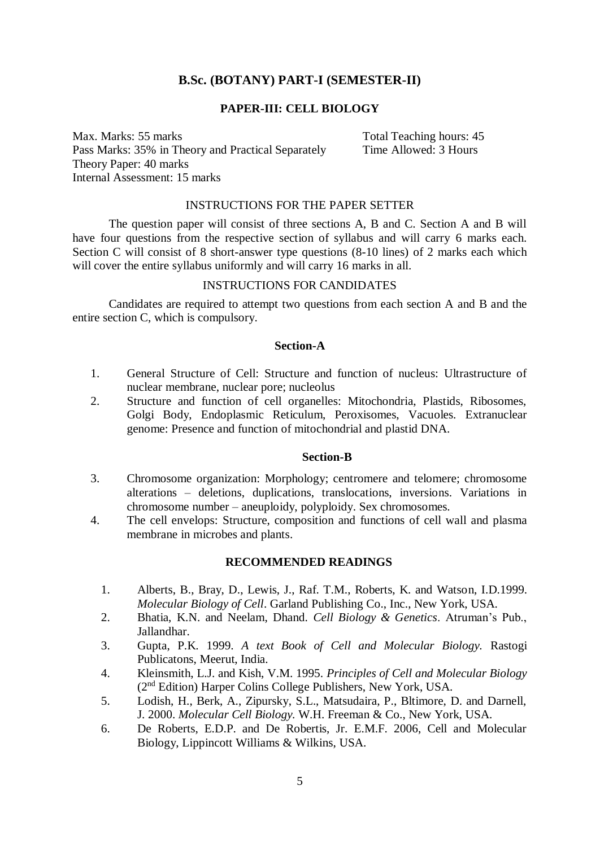## **B.Sc. (BOTANY) PART-I (SEMESTER-II)**

## **PAPER-III: CELL BIOLOGY**

Max. Marks: 55 marks<br>Pass Marks: 35% in Theory and Practical Separately Time Allowed: 3 Hours Pass Marks: 35% in Theory and Practical Separately Theory Paper: 40 marks Internal Assessment: 15 marks

## INSTRUCTIONS FOR THE PAPER SETTER

The question paper will consist of three sections A, B and C. Section A and B will have four questions from the respective section of syllabus and will carry 6 marks each. Section C will consist of 8 short-answer type questions (8-10 lines) of 2 marks each which will cover the entire syllabus uniformly and will carry 16 marks in all.

## INSTRUCTIONS FOR CANDIDATES

Candidates are required to attempt two questions from each section A and B and the entire section C, which is compulsory.

#### **Section-A**

- 1. General Structure of Cell: Structure and function of nucleus: Ultrastructure of nuclear membrane, nuclear pore; nucleolus
- 2. Structure and function of cell organelles: Mitochondria, Plastids, Ribosomes, Golgi Body, Endoplasmic Reticulum, Peroxisomes, Vacuoles. Extranuclear genome: Presence and function of mitochondrial and plastid DNA.

#### **Section-B**

- 3. Chromosome organization: Morphology; centromere and telomere; chromosome alterations – deletions, duplications, translocations, inversions. Variations in chromosome number – aneuploidy, polyploidy. Sex chromosomes.
- 4. The cell envelops: Structure, composition and functions of cell wall and plasma membrane in microbes and plants.

#### **RECOMMENDED READINGS**

- 1. Alberts, B., Bray, D., Lewis, J., Raf. T.M., Roberts, K. and Watson, I.D.1999. *Molecular Biology of Cell*. Garland Publishing Co., Inc., New York, USA.
- 2. Bhatia, K.N. and Neelam, Dhand. *Cell Biology & Genetics*. Atruman's Pub., Jallandhar.
- 3. Gupta, P.K. 1999. *A text Book of Cell and Molecular Biology.* Rastogi Publicatons, Meerut, India.
- 4. Kleinsmith, L.J. and Kish, V.M. 1995. *Principles of Cell and Molecular Biology* (2nd Edition) Harper Colins College Publishers, New York, USA.
- 5. Lodish, H., Berk, A., Zipursky, S.L., Matsudaira, P., Bltimore, D. and Darnell, J. 2000. *Molecular Cell Biology.* W.H. Freeman & Co., New York, USA.
- 6. De Roberts, E.D.P. and De Robertis, Jr. E.M.F. 2006, Cell and Molecular Biology, Lippincott Williams & Wilkins, USA.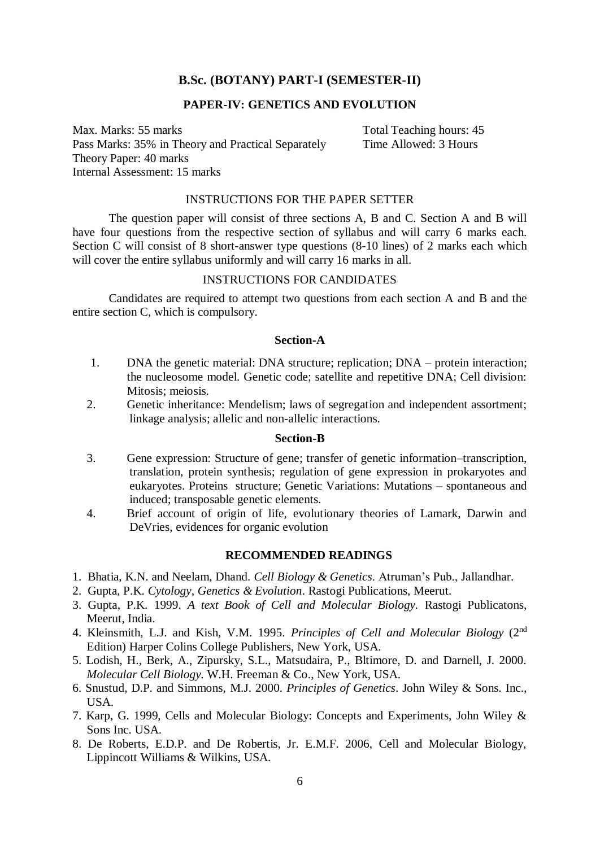## **B.Sc. (BOTANY) PART-I (SEMESTER-II)**

## **PAPER-IV: GENETICS AND EVOLUTION**

Max. Marks: 55 marks Total Teaching hours: 45 Pass Marks: 35% in Theory and Practical Separately Time Allowed: 3 Hours Theory Paper: 40 marks Internal Assessment: 15 marks

### INSTRUCTIONS FOR THE PAPER SETTER

The question paper will consist of three sections A, B and C. Section A and B will have four questions from the respective section of syllabus and will carry 6 marks each. Section C will consist of 8 short-answer type questions (8-10 lines) of 2 marks each which will cover the entire syllabus uniformly and will carry 16 marks in all.

#### INSTRUCTIONS FOR CANDIDATES

Candidates are required to attempt two questions from each section A and B and the entire section C, which is compulsory.

#### **Section-A**

- 1. DNA the genetic material: DNA structure; replication; DNA protein interaction; the nucleosome model. Genetic code; satellite and repetitive DNA; Cell division: Mitosis; meiosis.
- 2. Genetic inheritance: Mendelism; laws of segregation and independent assortment; linkage analysis; allelic and non-allelic interactions.

#### **Section-B**

- 3. Gene expression: Structure of gene; transfer of genetic information–transcription, translation, protein synthesis; regulation of gene expression in prokaryotes and eukaryotes. Proteins structure; Genetic Variations: Mutations – spontaneous and induced; transposable genetic elements.
- 4. Brief account of origin of life, evolutionary theories of Lamark, Darwin and DeVries, evidences for organic evolution

#### **RECOMMENDED READINGS**

- 1. Bhatia, K.N. and Neelam, Dhand. *Cell Biology & Genetics*. Atruman's Pub., Jallandhar.
- 2. Gupta, P.K. *Cytology, Genetics & Evolution*. Rastogi Publications, Meerut.
- 3. Gupta, P.K. 1999. *A text Book of Cell and Molecular Biology.* Rastogi Publicatons, Meerut, India.
- 4. Kleinsmith, L.J. and Kish, V.M. 1995. *Principles of Cell and Molecular Biology* (2nd Edition) Harper Colins College Publishers, New York, USA.
- 5. Lodish, H., Berk, A., Zipursky, S.L., Matsudaira, P., Bltimore, D. and Darnell, J. 2000. *Molecular Cell Biology.* W.H. Freeman & Co., New York, USA.
- 6. Snustud, D.P. and Simmons, M.J. 2000. *Principles of Genetics*. John Wiley & Sons. Inc., USA.
- 7. Karp, G. 1999, Cells and Molecular Biology: Concepts and Experiments, John Wiley & Sons Inc. USA.
- 8. De Roberts, E.D.P. and De Robertis, Jr. E.M.F. 2006, Cell and Molecular Biology, Lippincott Williams & Wilkins, USA.